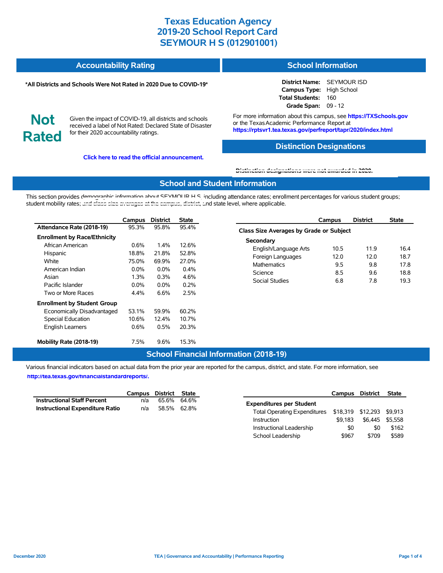| <b>Accountability Rating</b> | <b>School Information</b> |
|------------------------------|---------------------------|
|                              |                           |

#### **\*All Districts and Schools Were Not Rated in 2020 Due to COVID-19\***

**District Name:** SEYMOUR ISD **Campus Type:** High School **Total Students:** 160 **Grade Span:** 09 - 12

**Not Rated**

Given the impact of COVID-19, all districts and schools received a label of Not Rated: Declared State of Disaster for their 2020 accountability ratings.

**Click here to read the official announcement.**

For more information about this campus, see **https://TXSchools.gov** or the Texas Academic Performance Report at **https://rptsvr1.tea.texas.gov/perfreport/tapr/2020/index.html**

### **Distinction Designations**

#### **[Distinction designations were not awarded in 2020.](https://rptsvr1.tea.texas.gov/perfreport/tapr/2020/index.html)**

### **School and Student Information**

This section provides demographic information about SEYMOUR H S, including attendance rates; enrollment percentages for various student groups; student mobility rates; [and class size averages at the campus, district, a](https://tea.texas.gov/about-tea/news-and-multimedia/correspondence/taa-letters/every-student-succeeds-act-essa-waiver-approval-2020-state-academic-accountability)nd state level, where applicable.

|                                     | Campus  | <b>District</b> | <b>State</b> |
|-------------------------------------|---------|-----------------|--------------|
| Attendance Rate (2018-19)           | 95.3%   | 95.8%           | 95.4%        |
| <b>Enrollment by Race/Ethnicity</b> |         |                 |              |
| African American                    | 0.6%    | $1.4\%$         | 12.6%        |
| Hispanic                            | 18.8%   | 21.8%           | 52.8%        |
| White                               | 75.0%   | 69.9%           | 27.0%        |
| American Indian                     | $0.0\%$ | $0.0\%$         | $0.4\%$      |
| Asian                               | 1.3%    | 0.3%            | 4.6%         |
| Pacific Islander                    | $0.0\%$ | $0.0\%$         | $0.2\%$      |
| Two or More Races                   | $44\%$  | 6.6%            | 2.5%         |
| <b>Enrollment by Student Group</b>  |         |                 |              |
| Economically Disadvantaged          | 53.1%   | 59.9%           | 60.2%        |
| Special Education                   | 10.6%   | 12.4%           | 10.7%        |
| <b>English Learners</b>             | 0.6%    | 0.5%            | 20.3%        |
| Mobility Rate (2018-19)             | 7.5%    | 9.6%            | 15.3%        |

|                                         | Campus | <b>District</b> | <b>State</b> |  |  |  |  |  |  |  |
|-----------------------------------------|--------|-----------------|--------------|--|--|--|--|--|--|--|
| Class Size Averages by Grade or Subject |        |                 |              |  |  |  |  |  |  |  |
| Secondary                               |        |                 |              |  |  |  |  |  |  |  |
| English/Language Arts                   | 10.5   | 11.9            | 16.4         |  |  |  |  |  |  |  |
| Foreign Languages                       | 12.0   | 12.0            | 18.7         |  |  |  |  |  |  |  |
| <b>Mathematics</b>                      | 9.5    | 9.8             | 17.8         |  |  |  |  |  |  |  |
| Science                                 | 8.5    | 9.6             | 18.8         |  |  |  |  |  |  |  |
| Social Studies                          | 6.8    | 78              | 19.3         |  |  |  |  |  |  |  |
|                                         |        |                 |              |  |  |  |  |  |  |  |

#### **School Financial Information (2018-19)**

Various financial indicators based on actual data from the prior year are reported for the campus, district, and state. For more information, see **[http://tea.texas.gov/financialstandardreports/.](http://tea.texas.gov/financialstandardreports/)**

|                                        | Campus District State |             |
|----------------------------------------|-----------------------|-------------|
| <b>Instructional Staff Percent</b>     | n/a                   | 65.6% 64.6% |
| <b>Instructional Expenditure Ratio</b> | n/a                   | 58.5% 62.8% |

|                                     | Campus District |          | <b>State</b> |
|-------------------------------------|-----------------|----------|--------------|
| <b>Expenditures per Student</b>     |                 |          |              |
| <b>Total Operating Expenditures</b> | \$18,319        | \$12.293 | \$9.913      |
| Instruction                         | \$9.183         | \$6.445  | \$5.558      |
| Instructional Leadership            | \$0             | \$0      | \$162        |
| School Leadership                   | \$967           | \$709    | \$589        |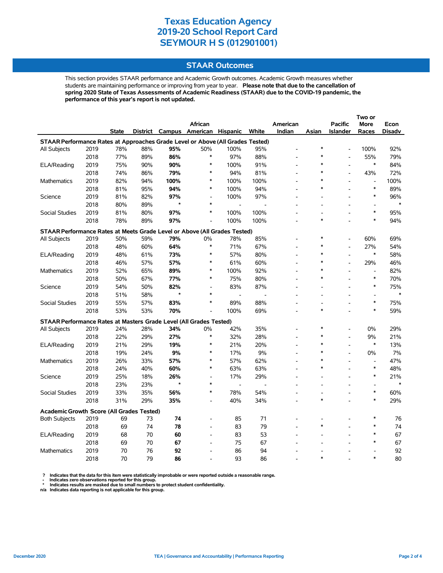### **STAAR Outcomes**

This section provides STAAR performance and Academic Growth outcomes. Academic Growth measures whether students are maintaining performance or improving from year to year. **Please note that due to the cancellation of spring 2020 State of Texas Assessments of Academic Readiness (STAAR) due to the COVID-19 pandemic, the performance of this year's report is not updated.**

|                                                                                |              |              |            |            |                                    |                          |            |                |        |                                            | Two or                             |               |
|--------------------------------------------------------------------------------|--------------|--------------|------------|------------|------------------------------------|--------------------------|------------|----------------|--------|--------------------------------------------|------------------------------------|---------------|
|                                                                                |              |              |            |            | <b>African</b>                     |                          |            | American       |        | <b>Pacific</b>                             | More                               | Econ          |
|                                                                                |              | <b>State</b> |            |            | District Campus American Hispanic  |                          | White      | Indian         | Asian  | Islander                                   | Races                              | <b>Disadv</b> |
| STAAR Performance Rates at Approaches Grade Level or Above (All Grades Tested) |              |              |            |            |                                    |                          |            |                |        |                                            |                                    |               |
| All Subjects                                                                   | 2019         | 78%          | 88%        | 95%        | 50%                                | 100%                     | 95%        |                | $\ast$ |                                            | 100%                               | 92%           |
|                                                                                | 2018         | 77%          | 89%        | 86%        | $\ast$                             | 97%                      | 88%        |                | $\ast$ | $\overline{a}$                             | 55%                                | 79%           |
| ELA/Reading                                                                    | 2019         | 75%          | 90%        | 90%        | $\ast$                             | 100%                     | 91%        |                | $\ast$ |                                            | $\ast$                             | 84%           |
|                                                                                | 2018         | 74%          | 86%        | 79%        | $\ast$                             | 94%                      | 81%        |                | $\ast$ |                                            | 43%                                | 72%           |
| <b>Mathematics</b>                                                             | 2019         | 82%          | 94%        | 100%       | $\ast$                             | 100%                     | 100%       |                | $\ast$ | $\overline{a}$                             | $\overline{\phantom{a}}$           | 100%          |
|                                                                                | 2018         | 81%          | 95%        | 94%        | ∗                                  | 100%                     | 94%        |                | $\ast$ |                                            | $\ast$                             | 89%           |
| Science                                                                        | 2019         | 81%          | 82%        | 97%        | $\overline{a}$                     | 100%                     | 97%        |                |        |                                            | $\ast$                             | 96%           |
|                                                                                | 2018         | 80%          | 89%        | $\star$    | $\ast$                             | $\overline{a}$           |            |                |        |                                            | $\overline{a}$                     | $\ast$        |
| Social Studies                                                                 | 2019         | 81%          | 80%        | 97%        | $\ast$                             | 100%                     | 100%       |                |        |                                            | $\ast$                             | 95%           |
|                                                                                | 2018         | 78%          | 89%        | 97%        |                                    | 100%                     | 100%       |                | $\ast$ |                                            | $\ast$                             | 94%           |
| STAAR Performance Rates at Meets Grade Level or Above (All Grades Tested)      |              |              |            |            |                                    |                          |            |                |        |                                            |                                    |               |
| All Subjects                                                                   | 2019         | 50%          | 59%        | 79%        | 0%                                 | 78%                      | 85%        |                | $\ast$ |                                            | 60%                                | 69%           |
|                                                                                | 2018         | 48%          | 60%        | 64%        | $\ast$                             | 71%                      | 67%        |                | $\ast$ | $\overline{a}$                             | 27%                                | 54%           |
| ELA/Reading                                                                    | 2019         | 48%          | 61%        | 73%        | $\ast$                             | 57%                      | 80%        | $\overline{a}$ | $\ast$ | $\overline{a}$                             | $\ast$                             | 58%           |
|                                                                                | 2018         | 46%          | 57%        | 57%        | $\ast$                             | 61%                      | 60%        |                | $\ast$ | L,                                         | 29%                                | 46%           |
| Mathematics                                                                    | 2019         | 52%          | 65%        | 89%        | $\ast$                             | 100%                     | 92%        |                | $\ast$ |                                            | $\overline{\phantom{a}}$           | 82%           |
|                                                                                | 2018         | 50%          | 67%        | 77%        | $\ast$                             | 75%                      | 80%        |                | $\ast$ |                                            | $\ast$                             | 70%           |
| Science                                                                        | 2019         | 54%          | 50%        | 82%        | $\overline{\phantom{a}}$           | 83%                      | 87%        |                |        |                                            | $\ast$                             | 75%           |
|                                                                                | 2018         | 51%          | 58%        | $\star$    | $\ast$                             | $\overline{\phantom{a}}$ |            |                |        |                                            | $\overline{\phantom{a}}$           | $\ast$        |
| <b>Social Studies</b>                                                          | 2019         | 55%          | 57%        | 83%        | $\ast$                             | 89%                      | 88%        |                |        |                                            | $\ast$                             | 75%           |
|                                                                                | 2018         | 53%          | 53%        | 70%        | $\overline{a}$                     | 100%                     | 69%        |                | $\ast$ |                                            | $\ast$                             | 59%           |
|                                                                                |              |              |            |            |                                    |                          |            |                |        |                                            |                                    |               |
| STAAR Performance Rates at Masters Grade Level (All Grades Tested)             |              |              |            |            |                                    |                          | 35%        |                | $\ast$ |                                            | 0%                                 | 29%           |
| All Subjects                                                                   | 2019<br>2018 | 24%<br>22%   | 28%<br>29% | 34%<br>27% | 0%<br>$\ast$                       | 42%                      | 28%        |                | $\ast$ | $\overline{a}$<br>$\overline{\phantom{a}}$ | 9%                                 | 21%           |
|                                                                                | 2019         | 21%          | 29%        | 19%        | $\ast$                             | 32%                      | 20%        |                | $\ast$ | $\overline{a}$                             | $\ast$                             | 13%           |
| ELA/Reading                                                                    | 2018         | 19%          | 24%        | 9%         | $\ast$                             | 21%                      | 9%         |                | $\ast$ | $\overline{a}$                             |                                    | 7%            |
|                                                                                |              |              |            |            | $\ast$                             | 17%                      |            |                | $\ast$ |                                            | 0%                                 |               |
| Mathematics                                                                    | 2019         | 26%<br>24%   | 33%        | 57%<br>60% | $\ast$                             | 57%                      | 62%        |                | $\ast$ |                                            | $\overline{\phantom{a}}$<br>$\ast$ | 47%           |
|                                                                                | 2018<br>2019 | 25%          | 40%<br>18% | 26%        |                                    | 63%<br>17%               | 63%<br>29% |                |        |                                            | $\ast$                             | 48%<br>21%    |
| Science                                                                        | 2018         | 23%          | 23%        | $\star$    | $\overline{\phantom{a}}$<br>$\ast$ |                          |            |                |        |                                            | $\blacksquare$                     | $\ast$        |
|                                                                                |              |              |            |            | $\ast$                             | $\overline{\phantom{a}}$ | 54%        |                |        | $\overline{a}$                             | $\ast$                             |               |
| Social Studies                                                                 | 2019         | 33%          | 35%        | 56%        | $\overline{a}$                     | 78%                      |            |                | $\ast$ | $\overline{a}$                             | $\ast$                             | 60%           |
|                                                                                | 2018         | 31%          | 29%        | 35%        |                                    | 40%                      | 34%        |                |        |                                            |                                    | 29%           |
| Academic Growth Score (All Grades Tested)                                      |              |              |            |            |                                    |                          |            |                |        |                                            |                                    |               |
| <b>Both Subjects</b>                                                           | 2019         | 69           | 73         | 74         |                                    | 85                       | 71         |                |        |                                            | $\ast$                             | 76            |
|                                                                                | 2018         | 69           | 74         | 78         | $\overline{\phantom{a}}$           | 83                       | 79         |                | $\ast$ |                                            | $\ast$                             | 74            |
| ELA/Reading                                                                    | 2019         | 68           | 70         | 60         | $\overline{a}$                     | 83                       | 53         |                |        |                                            | $\ast$                             | 67            |
|                                                                                | 2018         | 69           | 70         | 67         | $\overline{a}$                     | 75                       | 67         |                |        |                                            | $\ast$                             | 67            |
| <b>Mathematics</b>                                                             | 2019         | 70           | 76         | 92         | ÷,                                 | 86                       | 94         |                |        |                                            |                                    | 92            |
|                                                                                | 2018         | 70           | 79         | 86         |                                    | 93                       | 86         |                | $\ast$ |                                            | $\ast$                             | 80            |

? Indicates that the data for this item were statistically improbable or were reported outside a reasonable range.<br>- Indicates zero observations reported for this group.<br>\* Indicates results are masked due to small numbers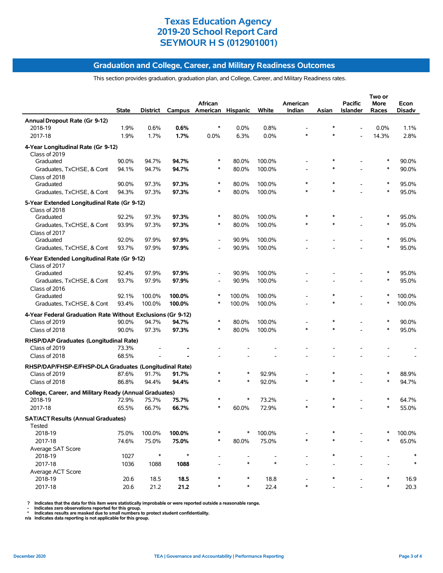### **Graduation and College, Career, and Military Readiness Outcomes**

This section provides graduation, graduation plan, and College, Career, and Military Readiness rates.

|                                                                         | <b>State</b>   | District       |         | African<br>Campus American Hispanic |        | White  | American<br>Indian | Asian  | <b>Pacific</b><br>Islander | Two or<br>More<br>Races | Econ<br>Disadv |
|-------------------------------------------------------------------------|----------------|----------------|---------|-------------------------------------|--------|--------|--------------------|--------|----------------------------|-------------------------|----------------|
| Annual Dropout Rate (Gr 9-12)                                           |                |                |         |                                     |        |        |                    |        |                            |                         |                |
| 2018-19                                                                 | 1.9%           | 0.6%           | 0.6%    | $\ast$                              | 0.0%   | 0.8%   |                    |        |                            | 0.0%                    | 1.1%           |
| 2017-18                                                                 | 1.9%           | 1.7%           | 1.7%    | 0.0%                                | 6.3%   | 0.0%   | $\ast$             | $\ast$ |                            | 14.3%                   | 2.8%           |
| 4-Year Longitudinal Rate (Gr 9-12)<br>Class of 2019                     |                |                |         |                                     |        |        |                    |        |                            |                         |                |
| Graduated                                                               | 90.0%          | 94.7%          | 94.7%   |                                     | 80.0%  | 100.0% |                    |        |                            |                         | 90.0%          |
| Graduates, TxCHSE, & Cont                                               | 94.1%          | 94.7%          | 94.7%   | $\ast$                              | 80.0%  | 100.0% |                    | $\ast$ |                            | $\ast$                  | 90.0%          |
| Class of 2018<br>Graduated                                              | 90.0%          | 97.3%          | 97.3%   | $\ast$                              | 80.0%  | 100.0% |                    | $\ast$ |                            | $\ast$                  | 95.0%          |
| Graduates, TxCHSE, & Cont                                               | 94.3%          | 97.3%          | 97.3%   | $\ast$                              | 80.0%  | 100.0% | $\ast$             | $\ast$ |                            | ∗                       | 95.0%          |
| 5-Year Extended Longitudinal Rate (Gr 9-12)                             |                |                |         |                                     |        |        |                    |        |                            |                         |                |
| Class of 2018<br>Graduated                                              | 92.2%          | 97.3%          | 97.3%   |                                     | 80.0%  | 100.0% |                    |        |                            |                         | 95.0%          |
| Graduates, TxCHSE, & Cont                                               | 93.9%          | 97.3%          | 97.3%   | $\ast$                              | 80.0%  | 100.0% |                    | $\ast$ |                            | $\ast$                  | 95.0%          |
| Class of 2017                                                           |                |                |         |                                     |        |        |                    |        |                            |                         |                |
| Graduated                                                               | 92.0%          | 97.9%          | 97.9%   |                                     | 90.9%  | 100.0% |                    |        |                            |                         | 95.0%          |
| Graduates, TxCHSE, & Cont                                               | 93.7%          | 97.9%          | 97.9%   |                                     | 90.9%  | 100.0% |                    |        |                            |                         | 95.0%          |
| 6-Year Extended Longitudinal Rate (Gr 9-12)<br>Class of 2017            |                |                |         |                                     |        |        |                    |        |                            |                         |                |
| Graduated                                                               | 92.4%          | 97.9%          | 97.9%   |                                     | 90.9%  | 100.0% |                    |        |                            |                         | 95.0%          |
| Graduates, TxCHSE, & Cont<br>Class of 2016                              | 93.7%          | 97.9%          | 97.9%   |                                     | 90.9%  | 100.0% |                    |        |                            | $\ast$                  | 95.0%          |
| Graduated                                                               | 92.1%          | 100.0%         | 100.0%  | *                                   | 100.0% | 100.0% |                    |        |                            |                         | 100.0%         |
| Graduates, TxCHSE, & Cont                                               | 93.4%          | 100.0%         | 100.0%  |                                     | 100.0% | 100.0% |                    | $\ast$ |                            |                         | 100.0%         |
| 4-Year Federal Graduation Rate Without Exclusions (Gr 9-12)             |                |                |         |                                     |        |        |                    |        |                            |                         |                |
| Class of 2019                                                           | 90.0%          | 94.7%          | 94.7%   |                                     | 80.0%  | 100.0% |                    | $\ast$ |                            |                         | 90.0%          |
| Class of 2018                                                           | 90.0%          | 97.3%          | 97.3%   |                                     | 80.0%  | 100.0% |                    | $\ast$ |                            | $\ast$                  | 95.0%          |
| RHSP/DAP Graduates (Longitudinal Rate)<br>Class of 2019                 | 73.3%          |                |         |                                     |        |        |                    |        |                            |                         |                |
| Class of 2018                                                           | 68.5%          |                |         |                                     |        |        |                    |        |                            |                         |                |
|                                                                         |                |                |         |                                     |        |        |                    |        |                            |                         |                |
| RHSP/DAP/FHSP-E/FHSP-DLA Graduates (Longitudinal Rate)<br>Class of 2019 | 87.6%          | 91.7%          | 91.7%   |                                     | ∗      | 92.9%  |                    | $\ast$ |                            | ∗                       | 88.9%          |
| Class of 2018                                                           | 86.8%          | 94.4%          | 94.4%   |                                     | $\ast$ | 92.0%  | $\ast$             | $\ast$ |                            | $\ast$                  | 94.7%          |
|                                                                         |                |                |         |                                     |        |        |                    |        |                            |                         |                |
| College, Career, and Military Ready (Annual Graduates)<br>2018-19       |                |                | 75.7%   |                                     | $\ast$ | 73.2%  |                    |        |                            |                         |                |
| 2017-18                                                                 | 72.9%<br>65.5% | 75.7%<br>66.7% | 66.7%   |                                     | 60.0%  | 72.9%  |                    |        |                            |                         | 64.7%<br>55.0% |
|                                                                         |                |                |         |                                     |        |        |                    |        |                            |                         |                |
| <b>SAT/ACT Results (Annual Graduates)</b><br>Tested                     |                |                |         |                                     |        |        |                    |        |                            |                         |                |
| 2018-19                                                                 | 75.0%          | 100.0%         | 100.0%  |                                     | $\ast$ | 100.0% |                    |        |                            |                         | 100.0%         |
| 2017-18                                                                 | 74.6%          | 75.0%          | 75.0%   | $\ast$                              | 80.0%  | 75.0%  | $\ast$             |        |                            | $\ast$                  | 65.0%          |
| Average SAT Score<br>2018-19                                            | 1027           | $\ast$         | $\star$ |                                     |        |        |                    |        |                            |                         | $\ast$         |
| 2017-18                                                                 | 1036           | 1088           | 1088    |                                     | $\ast$ | $\ast$ |                    |        |                            |                         | $\ast$         |
| Average ACT Score                                                       |                |                |         |                                     |        |        |                    |        |                            |                         |                |
| 2018-19                                                                 | 20.6           | 18.5           | 18.5    |                                     | ∗      | 18.8   |                    |        |                            | ∗                       | 16.9           |
| 2017-18                                                                 | 20.6           | 21.2           | 21.2    |                                     | $\ast$ | 22.4   | $\ast$             |        |                            | ∗                       | 20.3           |

? Indicates that the data for this item were statistically improbable or were reported outside a reasonable range.<br>- Indicates zero observations reported for this group.<br>\* Indicates results are masked due to small numbers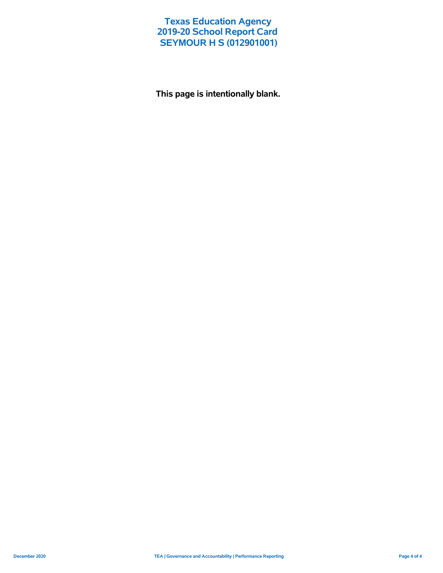**This page is intentionally blank.**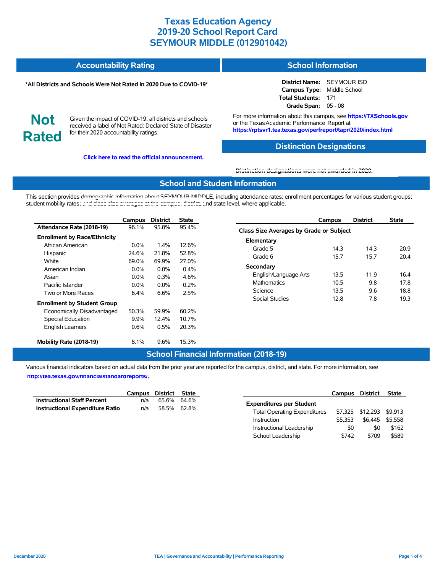#### **Accountability Rating School Information**

#### **\*All Districts and Schools Were Not Rated in 2020 Due to COVID-19\***

**District Name:** SEYMOUR ISD **Campus Type:** Middle School **Total Students:** 171 **Grade Span:** 05 - 08

**Not Rated**

Given the impact of COVID-19, all districts and schools received a label of Not Rated: Declared State of Disaster for their 2020 accountability ratings.

**Click here to read the official announcement.**

For more information about this campus, see **https://TXSchools.gov** or the Texas Academic Performance Report at **https://rptsvr1.tea.texas.gov/perfreport/tapr/2020/index.html**

### **Distinction Designations**

#### **[Distinction designations were not awarded in 2020.](https://rptsvr1.tea.texas.gov/perfreport/tapr/2020/index.html)**

### **School and Student Information**

This section provides demographic information about SEYMOUR MIDDLE, including attendance rates; enrollment percentages for various student groups; student mobility rates; [and class size averages at the campus, district, a](https://tea.texas.gov/about-tea/news-and-multimedia/correspondence/taa-letters/every-student-succeeds-act-essa-waiver-approval-2020-state-academic-accountability)nd state level, where applicable.

|                                     | Campus  | <b>District</b> | <b>State</b> |
|-------------------------------------|---------|-----------------|--------------|
| Attendance Rate (2018-19)           | 96.1%   | 95.8%           | 95.4%        |
| <b>Enrollment by Race/Ethnicity</b> |         |                 |              |
| African American                    | $0.0\%$ | 1.4%            | 12.6%        |
| Hispanic                            | 24.6%   | 21.8%           | 52.8%        |
| White                               | 69.0%   | 69.9%           | 27.0%        |
| American Indian                     | $0.0\%$ | $0.0\%$         | 0.4%         |
| Asian                               | $0.0\%$ | $0.3\%$         | 4.6%         |
| Pacific Islander                    | $0.0\%$ | $0.0\%$         | 0.2%         |
| Two or More Races                   | 6.4%    | 6.6%            | 2.5%         |
| <b>Enrollment by Student Group</b>  |         |                 |              |
| Economically Disadvantaged          | 50.3%   | 59.9%           | 60.2%        |
| <b>Special Education</b>            | $9.9\%$ | 12.4%           | 10.7%        |
| <b>English Learners</b>             | 0.6%    | 0.5%            | 20.3%        |
| Mobility Rate (2018-19)             | $8.1\%$ | 9.6%            | 15.3%        |

|                                         | Campus | <b>District</b> | <b>State</b> |  |  |  |  |  |  |
|-----------------------------------------|--------|-----------------|--------------|--|--|--|--|--|--|
| Class Size Averages by Grade or Subject |        |                 |              |  |  |  |  |  |  |
| Elementary                              |        |                 |              |  |  |  |  |  |  |
| Grade 5                                 | 14.3   | 14.3            | 20.9         |  |  |  |  |  |  |
| Grade 6                                 | 15.7   | 157             | 20.4         |  |  |  |  |  |  |
| Secondary                               |        |                 |              |  |  |  |  |  |  |
| English/Language Arts                   | 13.5   | 11.9            | 164          |  |  |  |  |  |  |
| <b>Mathematics</b>                      | 10.5   | 9.8             | 17.8         |  |  |  |  |  |  |
| Science                                 | 13.5   | 9.6             | 18.8         |  |  |  |  |  |  |
| Social Studies                          | 12.8   | 78              | 19.3         |  |  |  |  |  |  |

#### **School Financial Information (2018-19)**

Various financial indicators based on actual data from the prior year are reported for the campus, district, and state. For more information, see **[http://tea.texas.gov/financialstandardreports/.](http://tea.texas.gov/financialstandardreports/)**

|                                        | Campus District State |             |  |
|----------------------------------------|-----------------------|-------------|--|
| <b>Instructional Staff Percent</b>     | n/a                   | 65.6% 64.6% |  |
| <b>Instructional Expenditure Ratio</b> | n/a                   | 58.5% 62.8% |  |

|                                     | Campus District |          | <b>State</b> |
|-------------------------------------|-----------------|----------|--------------|
| <b>Expenditures per Student</b>     |                 |          |              |
| <b>Total Operating Expenditures</b> | \$7.325         | \$12,293 | \$9.913      |
| Instruction                         | \$5.353         | \$6.445  | \$5.558      |
| Instructional Leadership            | \$0             | \$0      | \$162        |
| School Leadership                   | \$742           | \$709    | \$589        |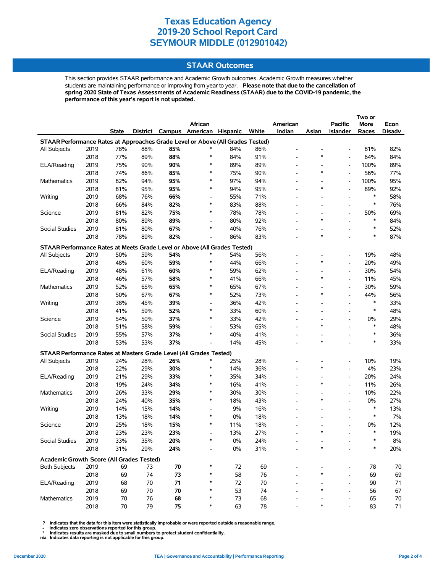### **STAAR Outcomes**

This section provides STAAR performance and Academic Growth outcomes. Academic Growth measures whether students are maintaining performance or improving from year to year. **Please note that due to the cancellation of spring 2020 State of Texas Assessments of Academic Readiness (STAAR) due to the COVID-19 pandemic, the performance of this year's report is not updated.**

|                                                                                |              |            |            |            |                                    |            |            |                                            |                          |                          | Two or       |            |
|--------------------------------------------------------------------------------|--------------|------------|------------|------------|------------------------------------|------------|------------|--------------------------------------------|--------------------------|--------------------------|--------------|------------|
|                                                                                |              |            |            |            | African                            |            |            | American                                   |                          | <b>Pacific</b>           | More         | Econ       |
|                                                                                |              | State      |            |            | District Campus American Hispanic  |            | White      | Indian                                     | Asian                    | <b>Islander</b>          | Races        | Disadv     |
| STAAR Performance Rates at Approaches Grade Level or Above (All Grades Tested) |              |            |            |            |                                    |            |            |                                            |                          |                          |              |            |
| All Subjects                                                                   | 2019         | 78%        | 88%        | 85%        | $\ast$                             | 84%        | 86%        | ٠                                          |                          | $\overline{\phantom{a}}$ | 81%          | 82%        |
|                                                                                | 2018         | 77%        | 89%        | 88%        | $\ast$                             | 84%        | 91%        | $\overline{\phantom{a}}$                   | *                        | $\overline{a}$           | 64%          | 84%        |
| ELA/Reading                                                                    | 2019         | 75%        | 90%        | 90%        | $\ast$                             | 89%        | 89%        | $\overline{\phantom{a}}$                   |                          | $\overline{a}$           | 100%         | 89%        |
|                                                                                | 2018         | 74%        | 86%        | 85%        | $\ast$                             | 75%        | 90%        | $\overline{a}$                             | $\ast$                   | $\overline{a}$           | 56%          | 77%        |
| Mathematics                                                                    | 2019         | 82%        | 94%        | 95%        | $\ast$                             | 97%        | 94%        |                                            |                          | $\overline{a}$           | 100%         | 95%        |
|                                                                                | 2018         | 81%        | 95%        | 95%        | $\ast$                             | 94%        | 95%        | $\overline{\phantom{a}}$                   | $\ast$                   | $\overline{a}$           | 89%          | 92%        |
| Writing                                                                        | 2019         | 68%        | 76%        | 66%        | $\overline{\phantom{a}}$           | 55%        | 71%        | $\overline{\phantom{a}}$                   |                          | $\overline{\phantom{a}}$ | $\ast$       | 58%        |
|                                                                                | 2018         | 66%        | 84%        | 82%        | $\ast$                             | 83%        | 88%        |                                            |                          |                          | $\ast$       | 76%        |
| Science                                                                        | 2019         | 81%        | 82%        | 75%        | $\ast$                             | 78%        | 78%        | $\overline{a}$                             |                          | $\overline{a}$           | 50%          | 69%        |
|                                                                                | 2018         | 80%        | 89%        | 89%        | $\overline{\phantom{a}}$           | 80%        | 92%        |                                            | $\ast$                   | $\overline{a}$           | $\ast$       | 84%        |
| Social Studies                                                                 | 2019         | 81%        | 80%        | 67%        | $\ast$                             | 40%        | 76%        |                                            |                          | $\overline{a}$           | $\ast$       | 52%        |
|                                                                                | 2018         | 78%        | 89%        | 82%        | $\overline{\phantom{a}}$           | 86%        | 83%        | $\overline{\phantom{a}}$                   | $\ast$                   | $\overline{a}$           | $\ast$       | 87%        |
| STAAR Performance Rates at Meets Grade Level or Above (All Grades Tested)      |              |            |            |            |                                    |            |            |                                            |                          |                          |              |            |
| All Subjects                                                                   | 2019         | 50%        | 59%        | 54%        | $\ast$                             | 54%        | 56%        |                                            |                          | $\overline{\phantom{a}}$ | 19%          | 48%        |
|                                                                                | 2018         | 48%        | 60%        | 59%        | ∗                                  | 44%        | 66%        | $\overline{\phantom{a}}$                   | ∗                        | $\overline{\phantom{0}}$ | 20%          | 49%        |
| ELA/Reading                                                                    | 2019         | 48%        | 61%        | 60%        | ∗                                  | 59%        | 62%        | Ĭ.                                         |                          | $\overline{\phantom{0}}$ | 30%          | 54%        |
|                                                                                | 2018         | 46%        | 57%        | 58%        | $\ast$                             | 41%        | 66%        |                                            | $\ast$                   | $\overline{a}$           | 11%          | 45%        |
| Mathematics                                                                    | 2019         | 52%        | 65%        | 65%        | $\ast$                             | 65%        | 67%        | $\overline{\phantom{a}}$                   |                          | $\overline{\phantom{a}}$ | 30%          | 59%        |
|                                                                                | 2018         | 50%        | 67%        | 67%        | $\ast$                             | 52%        | 73%        | Ĭ.                                         | $\ast$                   | $\overline{a}$           | 44%          | 56%        |
| Writing                                                                        | 2019         | 38%        | 45%        | 39%        | $\overline{\phantom{a}}$           | 36%        | 42%        | $\overline{a}$                             |                          | $\overline{\phantom{a}}$ | $\ast$       | 33%        |
|                                                                                | 2018         | 41%        | 59%        | 52%        | $\ast$                             | 33%        | 60%        | $\overline{\phantom{a}}$                   | $\overline{\phantom{a}}$ | $\overline{\phantom{a}}$ | $\ast$       | 48%        |
| Science                                                                        | 2019         | 54%        | 50%        | 37%        | $\ast$                             | 33%        | 42%        | $\overline{a}$                             |                          | $\overline{\phantom{a}}$ | 0%           | 29%        |
|                                                                                | 2018         | 51%        | 58%        | 59%        | $\overline{\phantom{a}}$           | 53%        | 65%        |                                            | $\ast$                   |                          | $\ast$       | 48%        |
| Social Studies                                                                 | 2019         | 55%        | 57%        | 37%        | $\ast$                             | 40%        | 41%        | $\overline{a}$                             |                          | $\overline{a}$           | $\ast$       | 36%        |
|                                                                                | 2018         | 53%        | 53%        | 37%        |                                    | 14%        | 45%        |                                            | *                        |                          | $\ast$       | 33%        |
|                                                                                |              |            |            |            |                                    |            |            |                                            |                          |                          |              |            |
| STAAR Performance Rates at Masters Grade Level (All Grades Tested)             | 2019         | 24%        | 28%        | 26%        | $\ast$                             | 25%        | 28%        |                                            |                          | $\overline{a}$           | 10%          | 19%        |
| All Subjects                                                                   | 2018         | 22%        | 29%        | 30%        | $\ast$                             | 14%        | 36%        |                                            | ∗                        | $\overline{a}$           | 4%           | 23%        |
| ELA/Reading                                                                    | 2019         | 21%        | 29%        | 33%        | $\ast$                             | 35%        | 34%        | $\overline{a}$                             |                          | $\overline{\phantom{0}}$ | 20%          | 24%        |
|                                                                                |              |            |            |            | $\ast$                             |            |            | $\overline{\phantom{a}}$                   | ∗                        |                          |              |            |
| Mathematics                                                                    | 2018<br>2019 | 19%<br>26% | 24%<br>33% | 34%<br>29% | $\ast$                             | 16%<br>30% | 41%<br>30% |                                            |                          | $\overline{\phantom{0}}$ | 11%<br>10%   | 26%<br>22% |
|                                                                                |              |            |            |            | $\ast$                             |            |            | $\overline{a}$                             | $\ast$                   | $\overline{\phantom{0}}$ |              |            |
|                                                                                | 2018         | 24%        | 40%        | 35%        |                                    | 18%        | 43%        | $\overline{\phantom{0}}$<br>$\overline{a}$ |                          | $\overline{\phantom{a}}$ | 0%<br>$\ast$ | 27%        |
| Writing                                                                        | 2019         | 14%        | 15%        | 14%        | $\overline{\phantom{a}}$<br>$\ast$ | 9%         | 16%        |                                            |                          | $\overline{a}$           | $\ast$       | 13%        |
|                                                                                | 2018         | 13%        | 18%        | 14%        | $\ast$                             | 0%         | 18%        | $\overline{a}$                             |                          | $\overline{a}$           |              | 7%         |
| Science                                                                        | 2019         | 25%        | 18%        | 15%        |                                    | 11%        | 18%        |                                            | *                        | $\overline{a}$           | 0%<br>$\ast$ | 12%        |
|                                                                                | 2018         | 23%        | 23%        | 23%        | $\overline{\phantom{a}}$           | 13%        | 27%        |                                            |                          | $\overline{a}$           |              | 19%        |
| Social Studies                                                                 | 2019         | 33%        | 35%        | 20%        |                                    | $0\%$      | 24%        |                                            |                          |                          |              | 8%         |
|                                                                                | 2018         | 31%        | 29%        | 24%        |                                    | 0%         | 31%        |                                            |                          |                          |              | 20%        |
| Academic Growth Score (All Grades Tested)                                      |              |            |            |            |                                    |            |            |                                            |                          |                          |              |            |
| <b>Both Subjects</b>                                                           | 2019         | 69         | 73         | 70         |                                    | 72         | 69         |                                            |                          | $\overline{\phantom{a}}$ | 78           | 70         |
|                                                                                | 2018         | 69         | 74         | 73         |                                    | 58         | 76         |                                            |                          |                          | 69           | 69         |
| ELA/Reading                                                                    | 2019         | 68         | 70         | 71         | ∗                                  | 72         | 70         |                                            |                          |                          | 90           | 71         |
|                                                                                | 2018         | 69         | 70         | 70         | ∗                                  | 53         | 74         |                                            | ∗                        | $\overline{a}$           | 56           | 67         |
| Mathematics                                                                    | 2019         | 70         | 76         | 68         | ∗                                  | 73         | 68         |                                            |                          |                          | 65           | 70         |
|                                                                                | 2018         | $70\,$     | 79         | 75         | ∗                                  | 63         | 78         |                                            | ∗                        |                          | 83           | 71         |

 **? Indicates that the data for this item were statistically improbable or were reported outside a reasonable range.**

 **- Indicates zero observations reported for this group. \* Indicates results are masked due to small numbers to protect student confidentiality.**

**n/a Indicates data reporting is not applicable for this group.**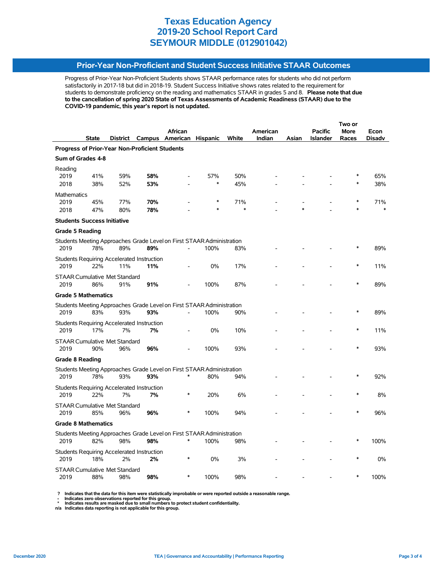### **Prior-Year Non-Proficient and Student Success Initiative STAAR Outcomes**

Progress of Prior-Year Non-Proficient Students shows STAAR performance rates for students who did not perform satisfactorily in 2017-18 but did in 2018-19. Student Success Initiative shows rates related to the requirement for students to demonstrate proficiency on the reading and mathematics STAAR in grades 5 and 8. **Please note that due to the cancellation of spring 2020 State of Texas Assessments of Academic Readiness (STAAR) due to the COVID-19 pandemic, this year's report is not updated.**

|                                                   | Two or       |     |     |                                                                       |        |        |          |       |          |        |        |
|---------------------------------------------------|--------------|-----|-----|-----------------------------------------------------------------------|--------|--------|----------|-------|----------|--------|--------|
|                                                   |              |     |     | African                                                               |        |        | American |       | Pacific  | More   | Econ   |
|                                                   | <b>State</b> |     |     | District Campus American Hispanic                                     |        | White  | Indian   | Asian | Islander | Races  | Disadv |
| Progress of Prior-Year Non-Proficient Students    |              |     |     |                                                                       |        |        |          |       |          |        |        |
| Sum of Grades 4-8                                 |              |     |     |                                                                       |        |        |          |       |          |        |        |
| Reading                                           |              |     |     |                                                                       |        |        |          |       |          |        |        |
| 2019                                              | 41%          | 59% | 58% |                                                                       | 57%    | 50%    |          |       |          |        | 65%    |
| 2018                                              | 38%          | 52% | 53% |                                                                       | $\ast$ | 45%    |          |       |          |        | 38%    |
| <b>Mathematics</b>                                |              |     |     |                                                                       |        |        |          |       |          |        |        |
| 2019                                              | 45%          | 77% | 70% |                                                                       | $\ast$ | 71%    |          |       |          | $\ast$ | 71%    |
| 2018                                              | 47%          | 80% | 78% |                                                                       |        | $\ast$ |          |       |          |        |        |
| <b>Students Success Initiative</b>                |              |     |     |                                                                       |        |        |          |       |          |        |        |
| <b>Grade 5 Reading</b>                            |              |     |     |                                                                       |        |        |          |       |          |        |        |
|                                                   |              |     |     |                                                                       |        |        |          |       |          |        |        |
|                                                   |              |     |     | Students Meeting Approaches Grade Level on First STAAR Administration |        |        |          |       |          |        |        |
| 2019                                              | 78%          | 89% | 89% |                                                                       | 100%   | 83%    |          |       |          |        | 89%    |
| Students Requiring Accelerated Instruction        |              |     |     |                                                                       |        |        |          |       |          |        |        |
| 2019                                              | 22%          | 11% | 11% |                                                                       | 0%     | 17%    |          |       |          |        | 11%    |
| <b>STAAR Cumulative Met Standard</b>              |              |     |     |                                                                       |        |        |          |       |          |        |        |
| 2019                                              | 86%          | 91% | 91% |                                                                       | 100%   | 87%    |          |       |          | $\ast$ | 89%    |
| <b>Grade 5 Mathematics</b>                        |              |     |     |                                                                       |        |        |          |       |          |        |        |
|                                                   |              |     |     | Students Meeting Approaches Grade Level on First STAAR Administration |        |        |          |       |          |        |        |
| 2019                                              | 83%          | 93% | 93% |                                                                       | 100%   | 90%    |          |       |          |        | 89%    |
| <b>Students Requiring Accelerated Instruction</b> |              |     |     |                                                                       |        |        |          |       |          |        |        |
| 2019                                              | 17%          | 7%  | 7%  |                                                                       | 0%     | 10%    |          |       |          | $\ast$ | 11%    |
|                                                   |              |     |     |                                                                       |        |        |          |       |          |        |        |
| <b>STAAR Cumulative Met Standard</b><br>2019      | 90%          | 96% | 96% |                                                                       | 100%   | 93%    |          |       |          |        | 93%    |
|                                                   |              |     |     |                                                                       |        |        |          |       |          |        |        |
| <b>Grade 8 Reading</b>                            |              |     |     |                                                                       |        |        |          |       |          |        |        |
|                                                   |              |     |     | Students Meeting Approaches Grade Level on First STAAR Administration |        |        |          |       |          |        |        |
| 2019                                              | 78%          | 93% | 93% |                                                                       | 80%    | 94%    |          |       |          |        | 92%    |
| Students Requiring Accelerated Instruction        |              |     |     |                                                                       |        |        |          |       |          |        |        |
| 2019                                              | 22%          | 7%  | 7%  | $\ast$                                                                | 20%    | 6%     |          |       |          | $\ast$ | 8%     |
| <b>STAAR Cumulative Met Standard</b>              |              |     |     |                                                                       |        |        |          |       |          |        |        |
| 2019                                              | 85%          | 96% | 96% | *                                                                     | 100%   | 94%    |          |       |          | $\ast$ | 96%    |
| <b>Grade 8 Mathematics</b>                        |              |     |     |                                                                       |        |        |          |       |          |        |        |
|                                                   |              |     |     | Students Meeting Approaches Grade Level on First STAAR Administration |        |        |          |       |          |        |        |
| 2019                                              | 82%          | 98% | 98% | *                                                                     | 100%   | 98%    |          |       |          |        | 100%   |
|                                                   |              |     |     |                                                                       |        |        |          |       |          |        |        |
| Students Requiring Accelerated Instruction        |              |     |     |                                                                       |        |        |          |       |          |        |        |
| 2019                                              | 18%          | 2%  | 2%  |                                                                       | 0%     | 3%     |          |       |          |        | 0%     |
| <b>STAAR Cumulative Met Standard</b>              |              |     |     |                                                                       |        |        |          |       |          |        |        |
| 2019                                              | 88%          | 98% | 98% | ∗                                                                     | 100%   | 98%    |          |       |          |        | 100%   |

 **? Indicates that the data for this item were statistically improbable or were reported outside a reasonable range.**

 **- Indicates zero observations reported for this group.**

 **\* Indicates results are masked due to small numbers to protect student confidentiality. n/a Indicates data reporting is not applicable for this group.**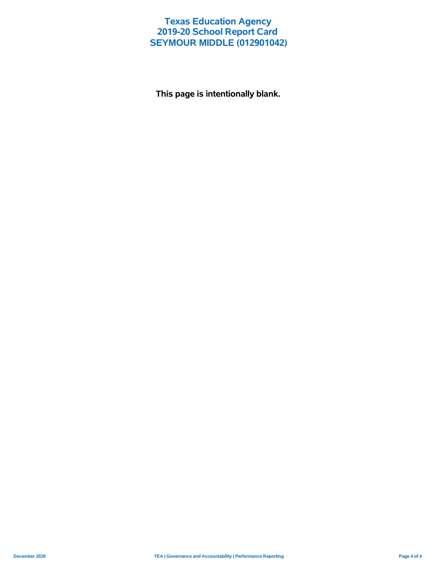**This page is intentionally blank.**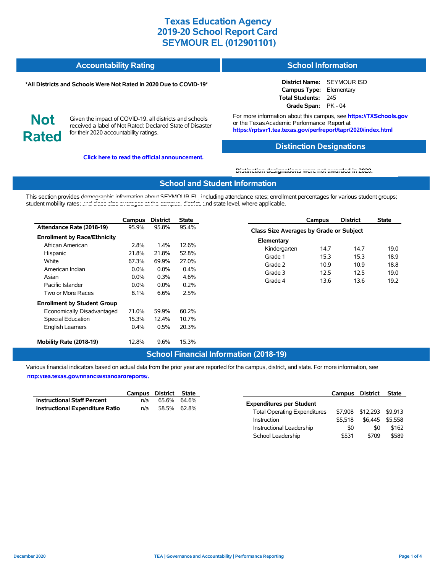| <b>Accountability Rating</b> | <b>School Information</b> |
|------------------------------|---------------------------|
|                              |                           |

#### **\*All Districts and Schools Were Not Rated in 2020 Due to COVID-19\***

**District Name:** SEYMOUR ISD **Campus Type:** Elementary **Total Students:** 245 **Grade Span:** PK - 04

**Not Rated**

Given the impact of COVID-19, all districts and schools received a label of Not Rated: Declared State of Disaster for their 2020 accountability ratings.

**Click here to read the official announcement.**

For more information about this campus, see **https://TXSchools.gov** or the Texas Academic Performance Report at **https://rptsvr1.tea.texas.gov/perfreport/tapr/2020/index.html**

### **Distinction Designations**

#### **[Distinction designations were not awarded in 2020.](https://rptsvr1.tea.texas.gov/perfreport/tapr/2020/index.html)**

#### **School and Student Information**

This section provides demographic information about SEYMOUR EL, including attendance rates; enrollment percentages for various student groups; student mobility rates; [and class size averages at the campus, district, a](https://tea.texas.gov/about-tea/news-and-multimedia/correspondence/taa-letters/every-student-succeeds-act-essa-waiver-approval-2020-state-academic-accountability)nd state level, where applicable.

|                                     | Campus  | <b>District</b> | <b>State</b> |
|-------------------------------------|---------|-----------------|--------------|
| Attendance Rate (2018-19)           | 95.9%   | 95.8%           | 95.4%        |
| <b>Enrollment by Race/Ethnicity</b> |         |                 |              |
| African American                    | 2.8%    | $1.4\%$         | 12.6%        |
| Hispanic                            | 21.8%   | 21.8%           | 52.8%        |
| White                               | 67.3%   | 69.9%           | 27.0%        |
| American Indian                     | $0.0\%$ | $0.0\%$         | $0.4\%$      |
| Asian                               | $0.0\%$ | 0.3%            | 4.6%         |
| Pacific Islander                    | $0.0\%$ | $0.0\%$         | 0.2%         |
| Two or More Races                   | 8.1%    | 6 6%            | 2.5%         |
| <b>Enrollment by Student Group</b>  |         |                 |              |
| Economically Disadvantaged          | 71.0%   | 59.9%           | 60.2%        |
| <b>Special Education</b>            | 15.3%   | 12.4%           | 10.7%        |
| <b>English Learners</b>             | $0.4\%$ | 0.5%            | 20.3%        |
| Mobility Rate (2018-19)             | 12.8%   | 9.6%            | 15.3%        |

|                                         | Campus | <b>District</b> | <b>State</b> |
|-----------------------------------------|--------|-----------------|--------------|
| Class Size Averages by Grade or Subject |        |                 |              |
| Elementary                              |        |                 |              |
| Kindergarten                            | 14.7   | 14.7            | 19.0         |
| Grade 1                                 | 15.3   | 15.3            | 18.9         |
| Grade 2                                 | 10.9   | 10.9            | 18.8         |
| Grade 3                                 | 12.5   | 12.5            | 19.0         |
| Grade 4                                 | 13.6   | 13.6            | 19.2         |
|                                         |        |                 |              |

### **School Financial Information (2018-19)**

Various financial indicators based on actual data from the prior year are reported for the campus, district, and state. For more information, see **[http://tea.texas.gov/financialstandardreports/.](http://tea.texas.gov/financialstandardreports/)**

|                                        | Campus District State |             |  |
|----------------------------------------|-----------------------|-------------|--|
| <b>Instructional Staff Percent</b>     | n/a                   | 65.6% 64.6% |  |
| <b>Instructional Expenditure Ratio</b> | n/a                   | 58.5% 62.8% |  |

|                                     | Campus  | District | <b>State</b> |
|-------------------------------------|---------|----------|--------------|
| <b>Expenditures per Student</b>     |         |          |              |
| <b>Total Operating Expenditures</b> | \$7,908 | \$12.293 | \$9.913      |
| Instruction                         | \$5.518 | \$6.445  | \$5.558      |
| Instructional Leadership            | \$0     | \$0      | \$162        |
| School Leadership                   | \$531   | \$709    | \$589        |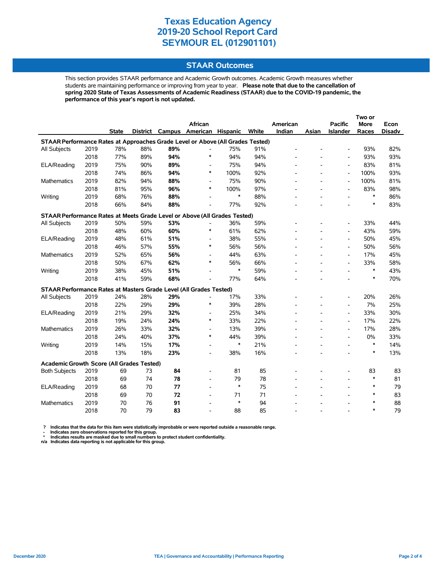### **STAAR Outcomes**

This section provides STAAR performance and Academic Growth outcomes. Academic Growth measures whether students are maintaining performance or improving from year to year. **Please note that due to the cancellation of spring 2020 State of Texas Assessments of Academic Readiness (STAAR) due to the COVID-19 pandemic, the performance of this year's report is not updated.**

|                                                                                |      |              |     |                 |                          |                 |       |                          | Two or |                          |        |               |
|--------------------------------------------------------------------------------|------|--------------|-----|-----------------|--------------------------|-----------------|-------|--------------------------|--------|--------------------------|--------|---------------|
|                                                                                |      |              |     |                 | <b>African</b>           |                 |       | American                 |        | <b>Pacific</b>           | More   | Econ          |
|                                                                                |      | <b>State</b> |     | District Campus | American                 | <b>Hispanic</b> | White | Indian                   | Asian  | Islander                 | Races  | <b>Disadv</b> |
| STAAR Performance Rates at Approaches Grade Level or Above (All Grades Tested) |      |              |     |                 |                          |                 |       |                          |        |                          |        |               |
| All Subjects                                                                   | 2019 | 78%          | 88% | 89%             |                          | 75%             | 91%   |                          |        | $\overline{a}$           | 93%    | 82%           |
|                                                                                | 2018 | 77%          | 89% | 94%             | $\ast$                   | 94%             | 94%   |                          |        | $\overline{a}$           | 93%    | 93%           |
| ELA/Reading                                                                    | 2019 | 75%          | 90% | 89%             | $\overline{\phantom{a}}$ | 75%             | 94%   | $\overline{\phantom{a}}$ |        | $\overline{a}$           | 83%    | 81%           |
|                                                                                | 2018 | 74%          | 86% | 94%             | $\ast$                   | 100%            | 92%   |                          |        | $\overline{a}$           | 100%   | 93%           |
| <b>Mathematics</b>                                                             | 2019 | 82%          | 94% | 88%             | $\overline{\phantom{a}}$ | 75%             | 90%   | $\overline{\phantom{0}}$ |        | $\overline{a}$           | 100%   | 81%           |
|                                                                                | 2018 | 81%          | 95% | 96%             | ∗                        | 100%            | 97%   | $\overline{\phantom{0}}$ |        | $\overline{a}$           | 83%    | 98%           |
| Writing                                                                        | 2019 | 68%          | 76% | 88%             |                          | *               | 88%   | $\overline{\phantom{0}}$ |        | $\overline{a}$           | $\ast$ | 86%           |
|                                                                                | 2018 | 66%          | 84% | 88%             |                          | 77%             | 92%   |                          |        |                          | $\ast$ | 83%           |
| STAAR Performance Rates at Meets Grade Level or Above (All Grades Tested)      |      |              |     |                 |                          |                 |       |                          |        |                          |        |               |
| All Subjects                                                                   | 2019 | 50%          | 59% | 53%             |                          | 36%             | 59%   |                          |        |                          | 33%    | 44%           |
|                                                                                | 2018 | 48%          | 60% | 60%             | $\ast$                   | 61%             | 62%   |                          |        | $\overline{a}$           | 43%    | 59%           |
| ELA/Reading                                                                    | 2019 | 48%          | 61% | 51%             | $\overline{\phantom{a}}$ | 38%             | 55%   |                          |        | $\overline{a}$           | 50%    | 45%           |
|                                                                                | 2018 | 46%          | 57% | 55%             | $\ast$                   | 56%             | 56%   | $\overline{a}$           |        | $\overline{a}$           | 50%    | 56%           |
| Mathematics                                                                    | 2019 | 52%          | 65% | 56%             | $\overline{\phantom{a}}$ | 44%             | 63%   | $\overline{a}$           |        | $\overline{a}$           | 17%    | 45%           |
|                                                                                | 2018 | 50%          | 67% | 62%             | $\ast$                   | 56%             | 66%   |                          |        | $\overline{a}$           | 33%    | 58%           |
| Writing                                                                        | 2019 | 38%          | 45% | 51%             |                          | *               | 59%   |                          |        |                          | $\ast$ | 43%           |
|                                                                                | 2018 | 41%          | 59% | 68%             |                          | 77%             | 64%   |                          |        |                          | $\ast$ | 70%           |
| <b>STAAR Performance Rates at Masters Grade Level (All Grades Tested)</b>      |      |              |     |                 |                          |                 |       |                          |        |                          |        |               |
| All Subjects                                                                   | 2019 | 24%          | 28% | 29%             | $\overline{a}$           | 17%             | 33%   |                          |        | $\overline{a}$           | 20%    | 26%           |
|                                                                                | 2018 | 22%          | 29% | 29%             | ∗                        | 39%             | 28%   |                          |        | $\overline{a}$           | 7%     | 25%           |
| ELA/Reading                                                                    | 2019 | 21%          | 29% | 32%             | $\overline{\phantom{a}}$ | 25%             | 34%   |                          |        | $\overline{a}$           | 33%    | 30%           |
|                                                                                | 2018 | 19%          | 24% | 24%             | $\ast$                   | 33%             | 22%   |                          |        | $\overline{a}$           | 17%    | 22%           |
| <b>Mathematics</b>                                                             | 2019 | 26%          | 33% | 32%             | $\overline{\phantom{a}}$ | 13%             | 39%   |                          |        | $\overline{a}$           | 17%    | 28%           |
|                                                                                | 2018 | 24%          | 40% | 37%             | $\ast$                   | 44%             | 39%   |                          |        | $\overline{\phantom{a}}$ | $0\%$  | 33%           |
| Writing                                                                        | 2019 | 14%          | 15% | 17%             | $\overline{\phantom{a}}$ | $\ast$          | 21%   |                          |        |                          | $\ast$ | 14%           |
|                                                                                | 2018 | 13%          | 18% | 23%             |                          | 38%             | 16%   |                          |        |                          | $\ast$ | 13%           |
| Academic Growth Score (All Grades Tested)                                      |      |              |     |                 |                          |                 |       |                          |        |                          |        |               |
| <b>Both Subjects</b>                                                           | 2019 | 69           | 73  | 84              |                          | 81              | 85    |                          |        |                          | 83     | 83            |
|                                                                                | 2018 | 69           | 74  | 78              | $\overline{a}$           | 79              | 78    |                          |        | $\overline{a}$           | $\ast$ | 81            |
| ELA/Reading                                                                    | 2019 | 68           | 70  | 77              | $\overline{a}$           | $\ast$          | 75    |                          |        |                          | $\ast$ | 79            |
|                                                                                | 2018 | 69           | 70  | 72              | $\overline{a}$           | 71              | 71    |                          |        |                          | $\ast$ | 83            |
| Mathematics                                                                    | 2019 | 70           | 76  | 91              | $\overline{\phantom{a}}$ | $\ast$          | 94    |                          |        |                          | $\ast$ | 88            |
|                                                                                | 2018 | 70           | 79  | 83              | $\overline{\phantom{a}}$ | 88              | 85    |                          |        |                          | $\ast$ | 79            |

? Indicates that the data for this item were statistically improbable or were reported outside a reasonable range.<br>- Indicates zero observations reported for this group.<br>\* Indicates results are masked due to small numbers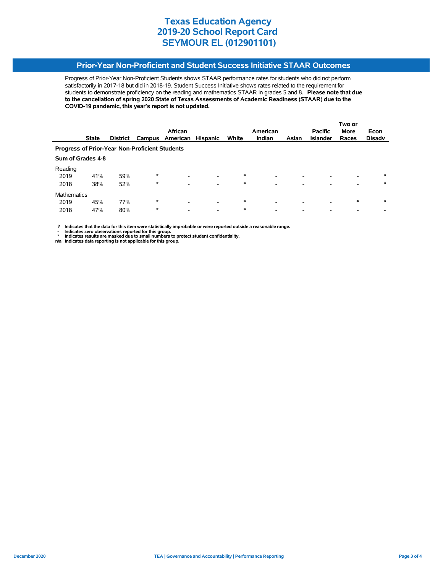### **Prior-Year Non-Proficient and Student Success Initiative STAAR Outcomes**

Progress of Prior-Year Non-Proficient Students shows STAAR performance rates for students who did not perform satisfactorily in 2017-18 but did in 2018-19. Student Success Initiative shows rates related to the requirement for students to demonstrate proficiency on the reading and mathematics STAAR in grades 5 and 8. **Please note that due to the cancellation of spring 2020 State of Texas Assessments of Academic Readiness (STAAR) due to the COVID-19 pandemic, this year's report is not updated.**

|                    |              |                 |                                                |                 |                          |        |                          |       |                 | Two or |               |
|--------------------|--------------|-----------------|------------------------------------------------|-----------------|--------------------------|--------|--------------------------|-------|-----------------|--------|---------------|
|                    |              |                 |                                                | <b>African</b>  |                          |        | American                 |       | <b>Pacific</b>  | More   | Econ          |
|                    | <b>State</b> | <b>District</b> |                                                | Campus American | <b>Hispanic</b>          | White  | Indian                   | Asian | <b>Islander</b> | Races  | <b>Disady</b> |
|                    |              |                 | Progress of Prior-Year Non-Proficient Students |                 |                          |        |                          |       |                 |        |               |
| Sum of Grades 4-8  |              |                 |                                                |                 |                          |        |                          |       |                 |        |               |
| Reading            |              |                 |                                                |                 |                          |        |                          |       |                 |        |               |
| 2019               | 41%          | 59%             | $\star$                                        |                 | $\overline{\phantom{a}}$ | $\ast$ | ۰                        |       |                 |        | $\ast$        |
| 2018               | 38%          | 52%             | *                                              |                 | $\overline{\phantom{a}}$ | $\ast$ | -                        |       |                 |        | $\ast$        |
| <b>Mathematics</b> |              |                 |                                                |                 |                          |        |                          |       |                 |        |               |
| 2019               | 45%          | 77%             | $\star$                                        |                 | $\overline{\phantom{a}}$ | $\ast$ | $\overline{\phantom{a}}$ | ۰     |                 | $\ast$ | $\ast$        |
| 2018               | 47%          | 80%             | $\star$                                        |                 | $\overline{\phantom{a}}$ | *      | -                        | ۰     |                 |        |               |

 **? Indicates that the data for this item were statistically improbable or were reported outside a reasonable range.**

**1.** Indicates zero observations reported for this group.<br> **1.** Indicates zero the sex mealed for this group.

 **\* Indicates results are masked due to small numbers to protect student confidentiality. n/a Indicates data reporting is not applicable for this group.**